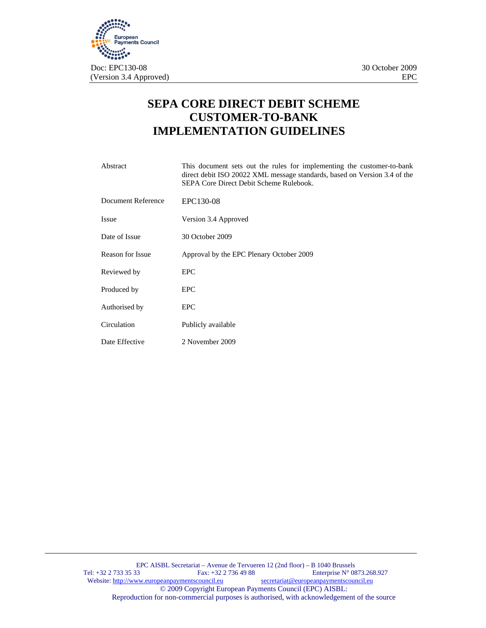

# **SEPA CORE DIRECT DEBIT SCHEME CUSTOMER-TO-BANK IMPLEMENTATION GUIDELINES**

| Abstract                | This document sets out the rules for implementing the customer-to-bank<br>direct debit ISO 20022 XML message standards, based on Version 3.4 of the<br>SEPA Core Direct Debit Scheme Rulebook. |
|-------------------------|------------------------------------------------------------------------------------------------------------------------------------------------------------------------------------------------|
| Document Reference      | EPC130-08                                                                                                                                                                                      |
| <b>Issue</b>            | Version 3.4 Approved                                                                                                                                                                           |
| Date of Issue           | 30 October 2009                                                                                                                                                                                |
| <b>Reason for Issue</b> | Approval by the EPC Plenary October 2009                                                                                                                                                       |
| Reviewed by             | <b>EPC</b>                                                                                                                                                                                     |
| Produced by             | <b>EPC</b>                                                                                                                                                                                     |
| Authorised by           | <b>EPC</b>                                                                                                                                                                                     |
| Circulation             | Publicly available                                                                                                                                                                             |
| Date Effective          | 2 November 2009                                                                                                                                                                                |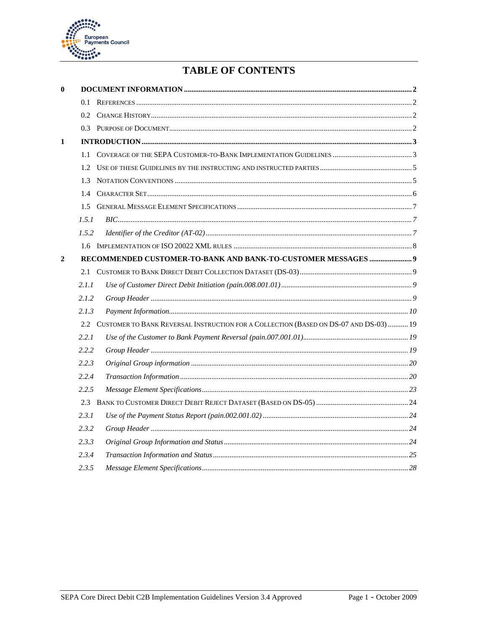

# **TABLE OF CONTENTS**

| $\mathbf{0}$   |       |                                                                                       |  |
|----------------|-------|---------------------------------------------------------------------------------------|--|
|                | 0.1   |                                                                                       |  |
|                |       |                                                                                       |  |
|                |       |                                                                                       |  |
| 1              |       |                                                                                       |  |
|                |       |                                                                                       |  |
|                | 1.2.  |                                                                                       |  |
|                | 1.3   |                                                                                       |  |
|                |       |                                                                                       |  |
|                | 1.5   |                                                                                       |  |
|                | 1.5.1 |                                                                                       |  |
|                | 1.5.2 |                                                                                       |  |
|                |       |                                                                                       |  |
| $\overline{2}$ |       |                                                                                       |  |
|                | 2.1   |                                                                                       |  |
|                | 2.1.1 |                                                                                       |  |
|                | 2.1.2 |                                                                                       |  |
|                | 2.1.3 |                                                                                       |  |
|                | 2.2.  | CUSTOMER TO BANK REVERSAL INSTRUCTION FOR A COLLECTION (BASED ON DS-07 AND DS-03)  19 |  |
|                | 2.2.1 |                                                                                       |  |
|                | 2.2.2 |                                                                                       |  |
|                | 2.2.3 |                                                                                       |  |
|                | 2.2.4 |                                                                                       |  |
|                | 2.2.5 |                                                                                       |  |
|                | 2.3   |                                                                                       |  |
|                | 2.3.1 |                                                                                       |  |
|                | 2.3.2 |                                                                                       |  |
|                | 2.3.3 |                                                                                       |  |
|                | 2.3.4 |                                                                                       |  |
|                | 2.3.5 |                                                                                       |  |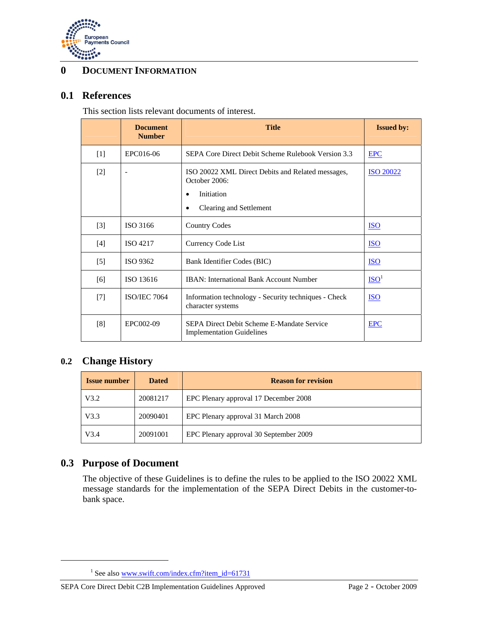

## **0 DOCUMENT INFORMATION**

### **0.1 References**

This section lists relevant documents of interest.

|                   | <b>Document</b><br><b>Number</b> | <b>Title</b>                                                                                                                          | <b>Issued by:</b> |
|-------------------|----------------------------------|---------------------------------------------------------------------------------------------------------------------------------------|-------------------|
| $\lceil 1 \rceil$ | EPC016-06                        | SEPA Core Direct Debit Scheme Rulebook Version 3.3                                                                                    | <b>EPC</b>        |
| $[2]$             |                                  | ISO 20022 XML Direct Debits and Related messages,<br>October 2006:<br>Initiation<br>$\bullet$<br>Clearing and Settlement<br>$\bullet$ | <b>ISO 20022</b>  |
| $[3]$             | ISO 3166                         | <b>Country Codes</b>                                                                                                                  | <b>ISO</b>        |
| $[4]$             | <b>ISO 4217</b>                  | Currency Code List                                                                                                                    | <b>ISO</b>        |
| $[5]$             | ISO 9362                         | Bank Identifier Codes (BIC)                                                                                                           | $\underline{ISO}$ |
| [6]               | ISO 13616                        | <b>IBAN:</b> International Bank Account Number                                                                                        | ISO <sup>1</sup>  |
| $[7]$             | <b>ISO/IEC 7064</b>              | Information technology - Security techniques - Check<br>character systems                                                             | <b>ISO</b>        |
| [8]               | EPC002-09                        | SEPA Direct Debit Scheme E-Mandate Service<br><b>Implementation Guidelines</b>                                                        | <b>EPC</b>        |

## **0.2 Change History**

| <b>Issue number</b> | <b>Dated</b> | <b>Reason for revision</b>             |
|---------------------|--------------|----------------------------------------|
| V3.2                | 20081217     | EPC Plenary approval 17 December 2008  |
| V3.3                | 20090401     | EPC Plenary approval 31 March 2008     |
| V3.4                | 20091001     | EPC Plenary approval 30 September 2009 |

## **0.3 Purpose of Document**

 $\overline{a}$ 

The objective of these Guidelines is to define the rules to be applied to the ISO 20022 XML message standards for the implementation of the SEPA Direct Debits in the customer-tobank space.

<sup>&</sup>lt;sup>1</sup> See also www.swift.com/index.cfm?item\_id=61731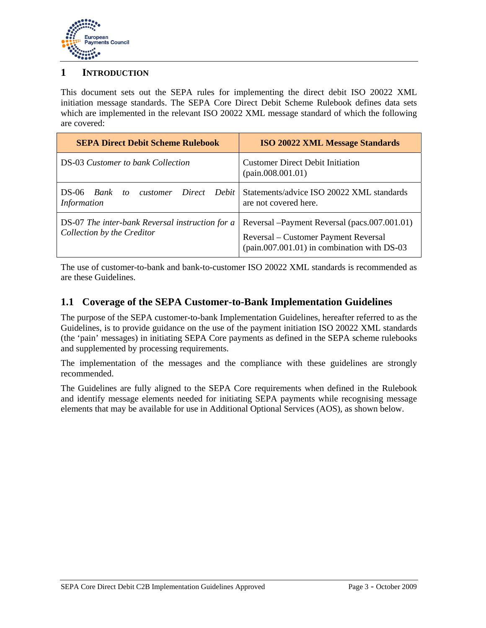

### **1 INTRODUCTION**

This document sets out the SEPA rules for implementing the direct debit ISO 20022 XML initiation message standards. The SEPA Core Direct Debit Scheme Rulebook defines data sets which are implemented in the relevant ISO 20022 XML message standard of which the following are covered:

| <b>SEPA Direct Debit Scheme Rulebook</b>                                      | <b>ISO 20022 XML Message Standards</b>                                                                                               |
|-------------------------------------------------------------------------------|--------------------------------------------------------------------------------------------------------------------------------------|
| <b>DS-03 Customer to bank Collection</b>                                      | <b>Customer Direct Debit Initiation</b><br>(pain.008.001.01)                                                                         |
| Direct Debit<br>DS-06 <i>Bank</i><br>customer<br>to<br><i>Information</i>     | Statements/advice ISO 20022 XML standards<br>are not covered here.                                                                   |
| DS-07 The inter-bank Reversal instruction for a<br>Collection by the Creditor | Reversal – Payment Reversal (pacs.007.001.01)<br>Reversal – Customer Payment Reversal<br>(pain.007.001.01) in combination with DS-03 |

The use of customer-to-bank and bank-to-customer ISO 20022 XML standards is recommended as are these Guidelines.

### **1.1 Coverage of the SEPA Customer-to-Bank Implementation Guidelines**

The purpose of the SEPA customer-to-bank Implementation Guidelines, hereafter referred to as the Guidelines, is to provide guidance on the use of the payment initiation ISO 20022 XML standards (the 'pain' messages) in initiating SEPA Core payments as defined in the SEPA scheme rulebooks and supplemented by processing requirements.

The implementation of the messages and the compliance with these guidelines are strongly recommended.

The Guidelines are fully aligned to the SEPA Core requirements when defined in the Rulebook and identify message elements needed for initiating SEPA payments while recognising message elements that may be available for use in Additional Optional Services (AOS), as shown below.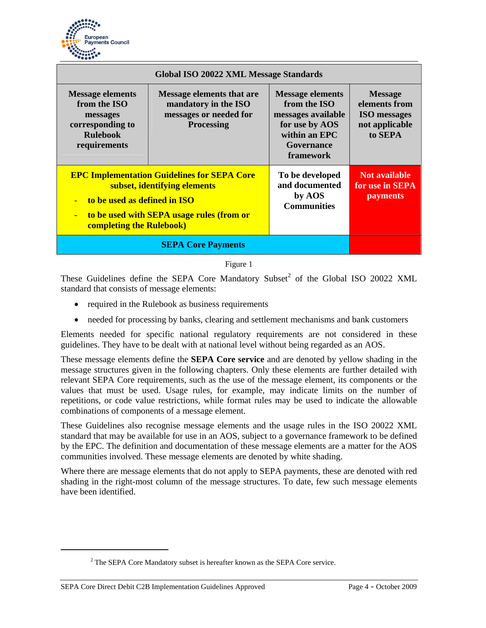

| Global ISO 20022 XML Message Standards                                                                     |                                                                                                                                 |                                                                                                                                    |                                                                                     |  |
|------------------------------------------------------------------------------------------------------------|---------------------------------------------------------------------------------------------------------------------------------|------------------------------------------------------------------------------------------------------------------------------------|-------------------------------------------------------------------------------------|--|
| <b>Message elements</b><br>from the ISO<br>messages<br>corresponding to<br><b>Rulebook</b><br>requirements | <b>Message elements that are</b><br>mandatory in the ISO<br>messages or needed for<br><b>Processing</b>                         | <b>Message elements</b><br>from the ISO<br>messages available<br>for use by AOS<br>within an EPC<br>Governance<br><b>framework</b> | <b>Message</b><br>elements from<br><b>ISO</b> messages<br>not applicable<br>to SEPA |  |
| to be used as defined in ISO<br>$\blacksquare$<br>$\equiv$<br><b>completing the Rulebook)</b>              | <b>EPC Implementation Guidelines for SEPA Core</b><br>subset, identifying elements<br>to be used with SEPA usage rules (from or | To be developed<br>and documented<br>by AOS<br><b>Communities</b>                                                                  | Not available<br>for use in SEPA<br><b>payments</b>                                 |  |
|                                                                                                            |                                                                                                                                 |                                                                                                                                    |                                                                                     |  |

Figure 1

These Guidelines define the SEPA Core Mandatory Subset<sup>2</sup> of the Global ISO 20022 XML standard that consists of message elements:

- required in the Rulebook as business requirements
- needed for processing by banks, clearing and settlement mechanisms and bank customers

Elements needed for specific national regulatory requirements are not considered in these guidelines. They have to be dealt with at national level without being regarded as an AOS.

These message elements define the **SEPA Core service** and are denoted by yellow shading in the message structures given in the following chapters. Only these elements are further detailed with relevant SEPA Core requirements, such as the use of the message element, its components or the values that must be used. Usage rules, for example, may indicate limits on the number of repetitions, or code value restrictions, while format rules may be used to indicate the allowable combinations of components of a message element.

These Guidelines also recognise message elements and the usage rules in the ISO 20022 XML standard that may be available for use in an AOS, subject to a governance framework to be defined by the EPC. The definition and documentation of these message elements are a matter for the AOS communities involved. These message elements are denoted by white shading.

Where there are message elements that do not apply to SEPA payments, these are denoted with red shading in the right-most column of the message structures. To date, few such message elements have been identified.

 $\overline{a}$ 

 $2^2$  The SEPA Core Mandatory subset is hereafter known as the SEPA Core service.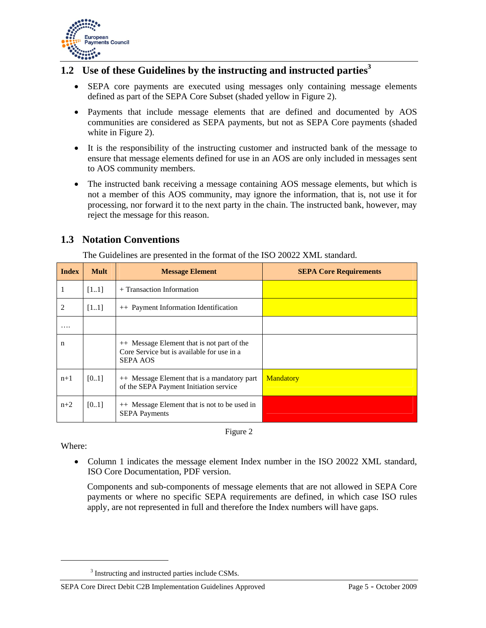

# **1.2 Use of these Guidelines by the instructing and instructed parties**<sup>3</sup>

- SEPA core payments are executed using messages only containing message elements defined as part of the SEPA Core Subset (shaded yellow in Figure 2).
- Payments that include message elements that are defined and documented by AOS communities are considered as SEPA payments, but not as SEPA Core payments (shaded white in Figure 2).
- It is the responsibility of the instructing customer and instructed bank of the message to ensure that message elements defined for use in an AOS are only included in messages sent to AOS community members.
- The instructed bank receiving a message containing AOS message elements, but which is not a member of this AOS community, may ignore the information, that is, not use it for processing, nor forward it to the next party in the chain. The instructed bank, however, may reject the message for this reason.

## **1.3 Notation Conventions**

| <b>Index</b> | <b>Mult</b> | <b>Message Element</b>                                                                                      | <b>SEPA Core Requirements</b> |
|--------------|-------------|-------------------------------------------------------------------------------------------------------------|-------------------------------|
| 1            | [11]        | + Transaction Information                                                                                   |                               |
| 2            | [11]        | ++ Payment Information Identification                                                                       |                               |
| $\cdots$     |             |                                                                                                             |                               |
| n            |             | ++ Message Element that is not part of the<br>Core Service but is available for use in a<br><b>SEPA AOS</b> |                               |
| $n+1$        | [01]        | ++ Message Element that is a mandatory part<br>of the SEPA Payment Initiation service                       | <b>Mandatory</b>              |
| $n+2$        | [0.1]       | ++ Message Element that is not to be used in<br><b>SEPA Payments</b>                                        |                               |

The Guidelines are presented in the format of the ISO 20022 XML standard.



Where:

 $\overline{a}$ 

• Column 1 indicates the message element Index number in the ISO 20022 XML standard, ISO Core Documentation, PDF version.

Components and sub-components of message elements that are not allowed in SEPA Core payments or where no specific SEPA requirements are defined, in which case ISO rules apply, are not represented in full and therefore the Index numbers will have gaps.

<sup>&</sup>lt;sup>3</sup> Instructing and instructed parties include CSMs.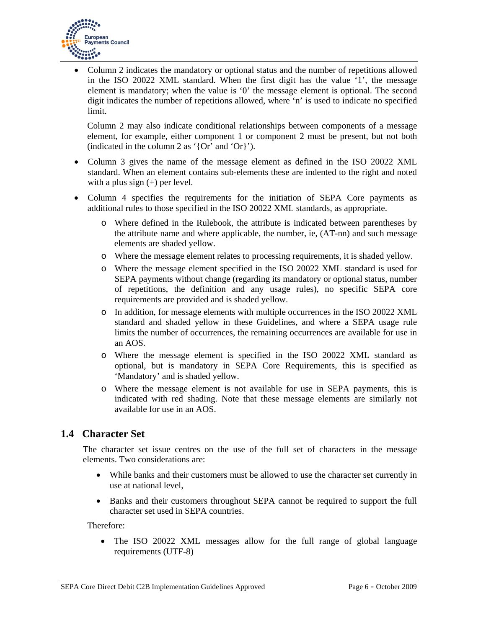

• Column 2 indicates the mandatory or optional status and the number of repetitions allowed in the ISO 20022 XML standard. When the first digit has the value '1', the message element is mandatory; when the value is '0' the message element is optional. The second digit indicates the number of repetitions allowed, where 'n' is used to indicate no specified limit.

Column 2 may also indicate conditional relationships between components of a message element, for example, either component 1 or component 2 must be present, but not both (indicated in the column 2 as '{Or' and 'Or}').

- Column 3 gives the name of the message element as defined in the ISO 20022 XML standard. When an element contains sub-elements these are indented to the right and noted with a plus sign  $(+)$  per level.
- Column 4 specifies the requirements for the initiation of SEPA Core payments as additional rules to those specified in the ISO 20022 XML standards, as appropriate.
	- o Where defined in the Rulebook, the attribute is indicated between parentheses by the attribute name and where applicable, the number, ie, (AT-nn) and such message elements are shaded yellow.
	- o Where the message element relates to processing requirements, it is shaded yellow.
	- o Where the message element specified in the ISO 20022 XML standard is used for SEPA payments without change (regarding its mandatory or optional status, number of repetitions, the definition and any usage rules), no specific SEPA core requirements are provided and is shaded yellow.
	- o In addition, for message elements with multiple occurrences in the ISO 20022 XML standard and shaded yellow in these Guidelines, and where a SEPA usage rule limits the number of occurrences, the remaining occurrences are available for use in an AOS.
	- o Where the message element is specified in the ISO 20022 XML standard as optional, but is mandatory in SEPA Core Requirements, this is specified as 'Mandatory' and is shaded yellow.
	- o Where the message element is not available for use in SEPA payments, this is indicated with red shading. Note that these message elements are similarly not available for use in an AOS.

## **1.4 Character Set**

The character set issue centres on the use of the full set of characters in the message elements. Two considerations are:

- While banks and their customers must be allowed to use the character set currently in use at national level,
- Banks and their customers throughout SEPA cannot be required to support the full character set used in SEPA countries.

Therefore:

• The ISO 20022 XML messages allow for the full range of global language requirements (UTF-8)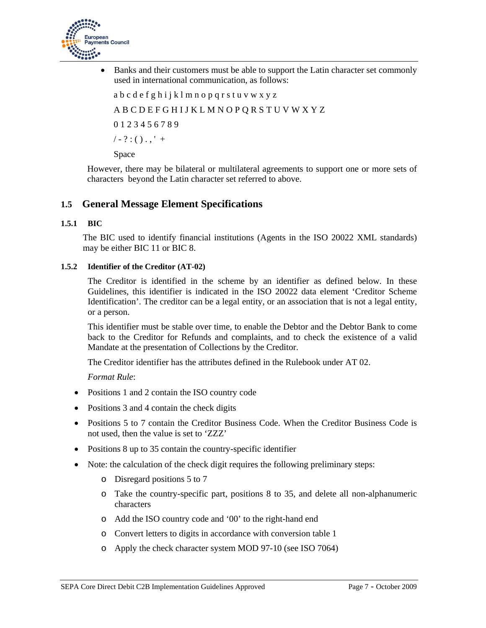

• Banks and their customers must be able to support the Latin character set commonly used in international communication, as follows:

a b c d e f g h i j k l m n o p q r s t u v w x y z

A B C D E F G H I J K L M N O P Q R S T U V W X Y Z

0 1 2 3 4 5 6 7 8 9

 $/ - ? : () . ,' +$ 

Space

However, there may be bilateral or multilateral agreements to support one or more sets of characters beyond the Latin character set referred to above.

### **1.5 General Message Element Specifications**

#### **1.5.1 BIC**

The BIC used to identify financial institutions (Agents in the ISO 20022 XML standards) may be either BIC 11 or BIC 8.

#### **1.5.2 Identifier of the Creditor (AT-02)**

The Creditor is identified in the scheme by an identifier as defined below. In these Guidelines, this identifier is indicated in the ISO 20022 data element 'Creditor Scheme Identification'. The creditor can be a legal entity, or an association that is not a legal entity, or a person.

This identifier must be stable over time, to enable the Debtor and the Debtor Bank to come back to the Creditor for Refunds and complaints, and to check the existence of a valid Mandate at the presentation of Collections by the Creditor.

The Creditor identifier has the attributes defined in the Rulebook under AT 02.

*Format Rule*:

- Positions 1 and 2 contain the ISO country code
- Positions 3 and 4 contain the check digits
- Positions 5 to 7 contain the Creditor Business Code. When the Creditor Business Code is not used, then the value is set to 'ZZZ'
- Positions 8 up to 35 contain the country-specific identifier
- Note: the calculation of the check digit requires the following preliminary steps:
	- o Disregard positions 5 to 7
	- o Take the country-specific part, positions 8 to 35, and delete all non-alphanumeric characters
	- o Add the ISO country code and '00' to the right-hand end
	- o Convert letters to digits in accordance with conversion table 1
	- o Apply the check character system MOD 97-10 (see ISO 7064)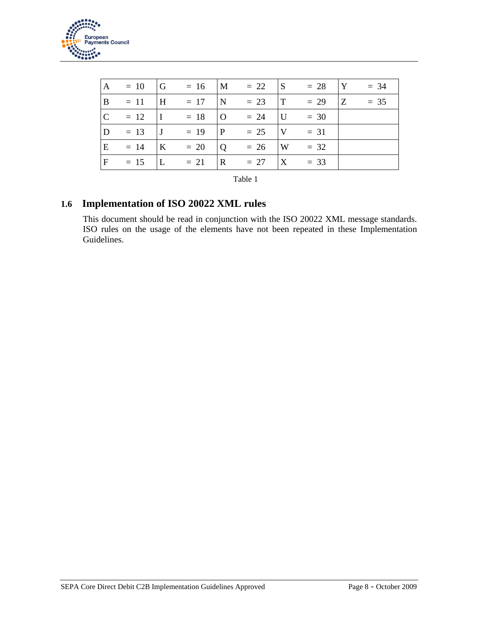

| $\overline{A}$ |          |                 | $= 10$  G $= 16$  M $= 22$  S $= 28$  Y $= 34$ |                |                                                       |  |  |
|----------------|----------|-----------------|------------------------------------------------|----------------|-------------------------------------------------------|--|--|
| B              |          |                 | $= 11$  H $= 17$  N $= 23$  T $= 29$  Z $= 35$ |                |                                                       |  |  |
| $\overline{C}$ | $= 12$   | $\mathbf{I}$    | $= 18$                                         |                | $\begin{vmatrix} 0 & = 24 &  U  & = 30 \end{vmatrix}$ |  |  |
| $\mathbf{D}$   | $= 13$ J |                 |                                                |                | $= 19$  P $= 25$  V $= 31$                            |  |  |
| E              | $= 14$   | $\vert K \vert$ | $= 20$                                         | $\overline{Q}$ | $= 26$  W $= 32$                                      |  |  |
| $\mathbf{F}$   | $= 15$   | L               | $= 21$                                         |                | $\vert R = 27 \vert X = 33$                           |  |  |

| ., |  |
|----|--|
|----|--|

### **1.6 Implementation of ISO 20022 XML rules**

This document should be read in conjunction with the ISO 20022 XML message standards. ISO rules on the usage of the elements have not been repeated in these Implementation Guidelines.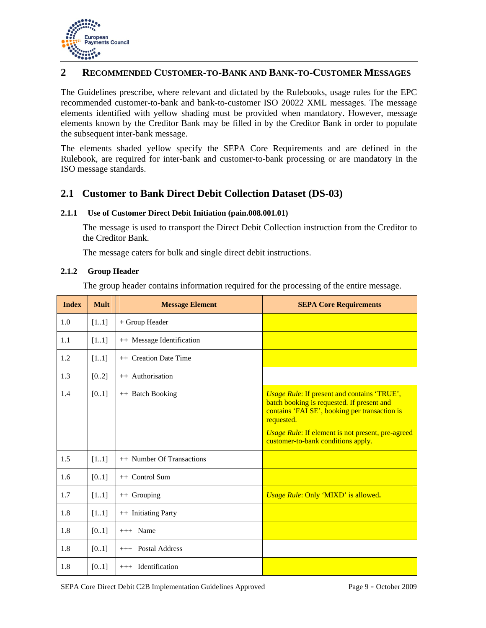

### **2 RECOMMENDED CUSTOMER-TO-BANK AND BANK-TO-CUSTOMER MESSAGES**

The Guidelines prescribe, where relevant and dictated by the Rulebooks, usage rules for the EPC recommended customer-to-bank and bank-to-customer ISO 20022 XML messages. The message elements identified with yellow shading must be provided when mandatory. However, message elements known by the Creditor Bank may be filled in by the Creditor Bank in order to populate the subsequent inter-bank message.

The elements shaded yellow specify the SEPA Core Requirements and are defined in the Rulebook, are required for inter-bank and customer-to-bank processing or are mandatory in the ISO message standards.

### **2.1 Customer to Bank Direct Debit Collection Dataset (DS-03)**

#### **2.1.1 Use of Customer Direct Debit Initiation (pain.008.001.01)**

The message is used to transport the Direct Debit Collection instruction from the Creditor to the Creditor Bank.

The message caters for bulk and single direct debit instructions.

#### **2.1.2 Group Header**

The group header contains information required for the processing of the entire message.

| <b>Index</b> | <b>Mult</b> | <b>Message Element</b>    | <b>SEPA Core Requirements</b>                                                                                                                                                                                                                                    |
|--------------|-------------|---------------------------|------------------------------------------------------------------------------------------------------------------------------------------------------------------------------------------------------------------------------------------------------------------|
| 1.0          | [11]        | + Group Header            |                                                                                                                                                                                                                                                                  |
| 1.1          | [11]        | ++ Message Identification |                                                                                                                                                                                                                                                                  |
| 1.2          | $[11]$      | ++ Creation Date Time     |                                                                                                                                                                                                                                                                  |
| 1.3          | [02]        | ++ Authorisation          |                                                                                                                                                                                                                                                                  |
| 1.4          | [01]        | ++ Batch Booking          | <b>Usage Rule: If present and contains 'TRUE',</b><br>batch booking is requested. If present and<br>contains 'FALSE', booking per transaction is<br>requested.<br><b>Usage Rule:</b> If element is not present, pre-agreed<br>customer-to-bank conditions apply. |
| 1.5          | [11]        | ++ Number Of Transactions |                                                                                                                                                                                                                                                                  |
| 1.6          | [0.1]       | $++$ Control Sum          |                                                                                                                                                                                                                                                                  |
| 1.7          | $[11]$      | ++ Grouping               | Usage Rule: Only 'MIXD' is allowed.                                                                                                                                                                                                                              |
| 1.8          | $[11]$      | ++ Initiating Party       |                                                                                                                                                                                                                                                                  |
| 1.8          | [0.1]       | $+++$ Name                |                                                                                                                                                                                                                                                                  |
| 1.8          | $[01]$      | +++ Postal Address        |                                                                                                                                                                                                                                                                  |
| 1.8          | [0.1]       | $++$ Identification       |                                                                                                                                                                                                                                                                  |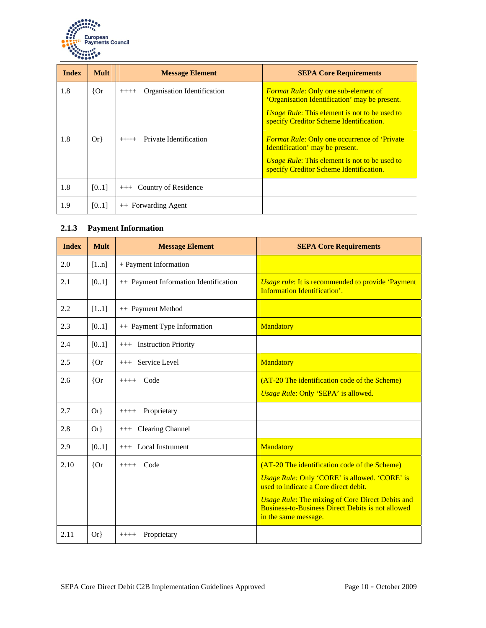

| <b>Index</b> | <b>Mult</b> | <b>Message Element</b>                 | <b>SEPA Core Requirements</b>                                                                                                                                                                   |
|--------------|-------------|----------------------------------------|-------------------------------------------------------------------------------------------------------------------------------------------------------------------------------------------------|
| 1.8          | ${or}$      | Organisation Identification<br>$+++++$ | <i>Format Rule:</i> Only one sub-element of<br>'Organisation Identification' may be present.<br><i>Usage Rule:</i> This element is not to be used to<br>specify Creditor Scheme Identification. |
| 1.8          | $Or\}$      | Private Identification<br>$++++-$      | <b>Format Rule: Only one occurrence of 'Private</b><br>Identification' may be present.<br><i>Usage Rule:</i> This element is not to be used to<br>specify Creditor Scheme Identification.       |
| 1.8          | [0.1]       | Country of Residence<br>$+++$          |                                                                                                                                                                                                 |
| 1.9          | [0.1]       | ++ Forwarding Agent                    |                                                                                                                                                                                                 |

### **2.1.3 Payment Information**

| <b>Index</b> | <b>Mult</b> | <b>Message Element</b>                | <b>SEPA Core Requirements</b>                                                                                                               |
|--------------|-------------|---------------------------------------|---------------------------------------------------------------------------------------------------------------------------------------------|
| 2.0          | [1n]        | + Payment Information                 |                                                                                                                                             |
| 2.1          | [01]        | ++ Payment Information Identification | <b>Usage rule:</b> It is recommended to provide 'Payment'<br><b>Information Identification'.</b>                                            |
| 2.2          | [11]        | ++ Payment Method                     |                                                                                                                                             |
| 2.3          | [01]        | ++ Payment Type Information           | Mandatory                                                                                                                                   |
| 2.4          | [01]        | +++ Instruction Priority              |                                                                                                                                             |
| 2.5          | ${or}$      | +++ Service Level                     | <b>Mandatory</b>                                                                                                                            |
| 2.6          | ${or}$      | $++++$ Code                           | (AT-20 The identification code of the Scheme)                                                                                               |
|              |             |                                       | Usage Rule: Only 'SEPA' is allowed.                                                                                                         |
| 2.7          | $Or\}$      | Proprietary<br>$+++++$                |                                                                                                                                             |
| 2.8          | $Or\}$      | +++ Clearing Channel                  |                                                                                                                                             |
| 2.9          | [01]        | $++$ Local Instrument                 | Mandatory                                                                                                                                   |
| 2.10         | ${or}$      | $++++$ Code                           | (AT-20 The identification code of the Scheme)                                                                                               |
|              |             |                                       | <i>Usage Rule: Only 'CORE' is allowed. 'CORE' is</i><br>used to indicate a Core direct debit.                                               |
|              |             |                                       | <b>Usage Rule: The mixing of Core Direct Debits and</b><br><b>Business-to-Business Direct Debits is not allowed</b><br>in the same message. |
| 2.11         | $Or\}$      | Proprietary<br>$++++-$                |                                                                                                                                             |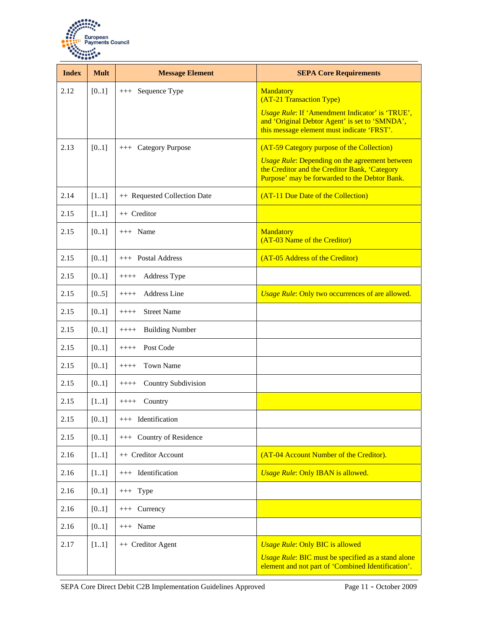

| <b>Index</b> | <b>Mult</b> | <b>Message Element</b>           | <b>SEPA Core Requirements</b>                                                                                                                           |
|--------------|-------------|----------------------------------|---------------------------------------------------------------------------------------------------------------------------------------------------------|
| 2.12         | [01]        | Sequence Type<br>$+++$           | Mandatory<br>(AT-21 Transaction Type)                                                                                                                   |
|              |             |                                  | <b>Usage Rule: If 'Amendment Indicator' is 'TRUE',</b><br>and 'Original Debtor Agent' is set to 'SMNDA',<br>this message element must indicate 'FRST'.  |
| 2.13         | [01]        | <b>Category Purpose</b><br>$+++$ | (AT-59 Category purpose of the Collection)                                                                                                              |
|              |             |                                  | <b>Usage Rule: Depending on the agreement between</b><br>the Creditor and the Creditor Bank, 'Category<br>Purpose' may be forwarded to the Debtor Bank. |
| 2.14         | [11]        | ++ Requested Collection Date     | (AT-11 Due Date of the Collection)                                                                                                                      |
| 2.15         | [11]        | ++ Creditor                      |                                                                                                                                                         |
| 2.15         | [01]        | $+++$ Name                       | <b>Mandatory</b><br>(AT-03 Name of the Creditor)                                                                                                        |
| 2.15         | [01]        | +++ Postal Address               | (AT-05 Address of the Creditor)                                                                                                                         |
| 2.15         | [01]        | Address Type<br>$++++-$          |                                                                                                                                                         |
| 2.15         | [05]        | <b>Address Line</b><br>$++++-$   | <b>Usage Rule: Only two occurrences of are allowed.</b>                                                                                                 |
| 2.15         | [01]        | <b>Street Name</b><br>$++++-$    |                                                                                                                                                         |
| 2.15         | [0.1]       | <b>Building Number</b><br>$++++$ |                                                                                                                                                         |
| 2.15         | [0.1]       | Post Code<br>$++++-$             |                                                                                                                                                         |
| 2.15         | [01]        | <b>Town Name</b><br>$++++-$      |                                                                                                                                                         |
| 2.15         | [01]        | Country Subdivision<br>$+++++$   |                                                                                                                                                         |
| 2.15         | [11]        | Country<br>$+++++$               |                                                                                                                                                         |
| 2.15         | [01]        | +++ Identification               |                                                                                                                                                         |
| 2.15         | [01]        | +++ Country of Residence         |                                                                                                                                                         |
| 2.16         | $[11]$      | ++ Creditor Account              | (AT-04 Account Number of the Creditor).                                                                                                                 |
| 2.16         | $[11]$      | Identification<br>$+++$          | <b>Usage Rule: Only IBAN is allowed.</b>                                                                                                                |
| 2.16         | $[01]$      | $++$ Type                        |                                                                                                                                                         |
| 2.16         | [01]        | +++ Currency                     |                                                                                                                                                         |
| 2.16         | [01]        | $+++$ Name                       |                                                                                                                                                         |
| 2.17         | $[11]$      | ++ Creditor Agent                | <b>Usage Rule: Only BIC is allowed</b>                                                                                                                  |
|              |             |                                  | Usage Rule: BIC must be specified as a stand alone<br>element and not part of 'Combined Identification'.                                                |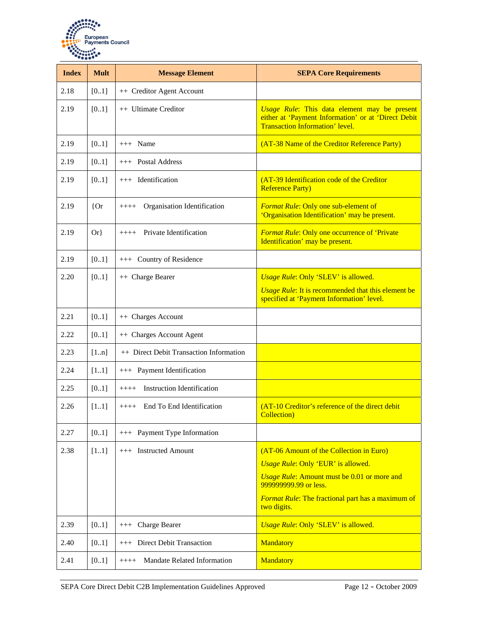

| <b>Index</b> | <b>Mult</b> | <b>Message Element</b>                       | <b>SEPA Core Requirements</b>                                                                                                          |
|--------------|-------------|----------------------------------------------|----------------------------------------------------------------------------------------------------------------------------------------|
| 2.18         | [01]        | ++ Creditor Agent Account                    |                                                                                                                                        |
| 2.19         | [01]        | ++ Ultimate Creditor                         | Usage Rule: This data element may be present<br>either at 'Payment Information' or at 'Direct Debit<br>Transaction Information' level. |
| 2.19         | [01]        | $+++$ Name                                   | (AT-38 Name of the Creditor Reference Party)                                                                                           |
| 2.19         | [01]        | $++$ Postal Address                          |                                                                                                                                        |
| 2.19         | [01]        | $++$ Identification                          | (AT-39 Identification code of the Creditor<br><b>Reference Party)</b>                                                                  |
| 2.19         | ${or}$      | Organisation Identification<br>$+++++$       | Format Rule: Only one sub-element of<br>'Organisation Identification' may be present.                                                  |
| 2.19         | $Or\}$      | Private Identification<br>$++++-$            | <b>Format Rule: Only one occurrence of 'Private</b><br>Identification' may be present.                                                 |
| 2.19         | [01]        | +++ Country of Residence                     |                                                                                                                                        |
| 2.20         | [01]        | ++ Charge Bearer                             | Usage Rule: Only 'SLEV' is allowed.                                                                                                    |
|              |             |                                              | <b><i>Usage Rule:</i></b> It is recommended that this element be<br>specified at 'Payment Information' level.                          |
| 2.21         | [01]        | ++ Charges Account                           |                                                                                                                                        |
| 2.22         | [01]        | ++ Charges Account Agent                     |                                                                                                                                        |
| 2.23         | [1n]        | ++ Direct Debit Transaction Information      |                                                                                                                                        |
| 2.24         | $[11]$      | +++ Payment Identification                   |                                                                                                                                        |
| 2.25         | [01]        | <b>Instruction Identification</b><br>$+++++$ |                                                                                                                                        |
| 2.26         | [11]        | End To End Identification<br>$+++++$         | (AT-10 Creditor's reference of the direct debit<br><b>Collection</b> )                                                                 |
| 2.27         | [01]        | +++ Payment Type Information                 |                                                                                                                                        |
| 2.38         | $[11]$      | +++ Instructed Amount                        | (AT-06 Amount of the Collection in Euro)                                                                                               |
|              |             |                                              | Usage Rule: Only 'EUR' is allowed.                                                                                                     |
|              |             |                                              | Usage Rule: Amount must be 0.01 or more and<br>999999999.99 or less.                                                                   |
|              |             |                                              | <b>Format Rule:</b> The fractional part has a maximum of<br>two digits.                                                                |
| 2.39         | [0.1]       | +++ Charge Bearer                            | Usage Rule: Only 'SLEV' is allowed.                                                                                                    |
| 2.40         | [01]        | +++ Direct Debit Transaction                 | Mandatory                                                                                                                              |
| 2.41         | [01]        | Mandate Related Information<br>$++++$        | Mandatory                                                                                                                              |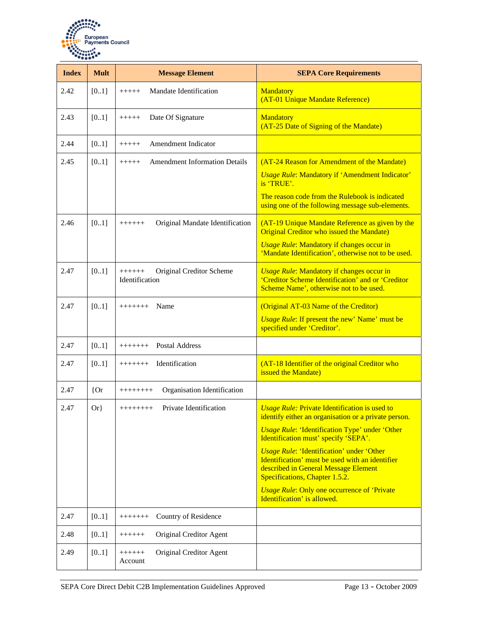

| <b>Index</b> | <b>Mult</b> | <b>Message Element</b>                                | <b>SEPA Core Requirements</b>                                                                                                                                                 |
|--------------|-------------|-------------------------------------------------------|-------------------------------------------------------------------------------------------------------------------------------------------------------------------------------|
| 2.42         | [01]        | Mandate Identification<br>$+++++$                     | Mandatory<br>(AT-01 Unique Mandate Reference)                                                                                                                                 |
| 2.43         | [01]        | Date Of Signature<br>$+++++$                          | <b>Mandatory</b><br>(AT-25 Date of Signing of the Mandate)                                                                                                                    |
| 2.44         | [01]        | Amendment Indicator<br>$+++++$                        |                                                                                                                                                                               |
| 2.45         | [01]        | <b>Amendment Information Details</b><br>$+++++$       | (AT-24 Reason for Amendment of the Mandate)<br><b>Usage Rule: Mandatory if 'Amendment Indicator'</b><br>is TRUE'.<br>The reason code from the Rulebook is indicated           |
|              |             |                                                       | using one of the following message sub-elements.                                                                                                                              |
| 2.46         | [01]        | Original Mandate Identification<br>$+++++$            | (AT-19 Unique Mandate Reference as given by the<br>Original Creditor who issued the Mandate)<br><b>Usage Rule: Mandatory if changes occur in</b>                              |
|              |             |                                                       | 'Mandate Identification', otherwise not to be used.                                                                                                                           |
| 2.47         | [01]        | Original Creditor Scheme<br>$+++++$<br>Identification | <b>Usage Rule: Mandatory if changes occur in</b><br>'Creditor Scheme Identification' and or 'Creditor<br>Scheme Name', otherwise not to be used.                              |
| 2.47         | [01]        | Name<br>$++++++$                                      | (Original AT-03 Name of the Creditor)<br><b>Usage Rule: If present the new' Name' must be</b><br>specified under 'Creditor'.                                                  |
| 2.47         | [01]        | <b>Postal Address</b><br>$++++++$                     |                                                                                                                                                                               |
| 2.47         | [01]        | Identification<br>$++++++$                            | (AT-18 Identifier of the original Creditor who<br>issued the Mandate)                                                                                                         |
| 2.47         | ${or}$      | Organisation Identification<br>++++++++               |                                                                                                                                                                               |
| 2.47         | $Or\}$      | Private Identification<br>++++++++                    | <b>Usage Rule: Private Identification is used to</b><br>identify either an organisation or a private person.                                                                  |
|              |             |                                                       | <b>Usage Rule: 'Identification Type' under 'Other</b><br>Identification must' specify 'SEPA'.                                                                                 |
|              |             |                                                       | <b>Usage Rule: 'Identification' under 'Other</b><br>Identification' must be used with an identifier<br>described in General Message Element<br>Specifications, Chapter 1.5.2. |
|              |             |                                                       | <b>Usage Rule: Only one occurrence of 'Private'</b><br>Identification' is allowed.                                                                                            |
| 2.47         | [01]        | Country of Residence<br>$++++++$                      |                                                                                                                                                                               |
| 2.48         | $[01]$      | Original Creditor Agent<br>$+++++$                    |                                                                                                                                                                               |
| 2.49         | [01]        | Original Creditor Agent<br>$++++++$<br>Account        |                                                                                                                                                                               |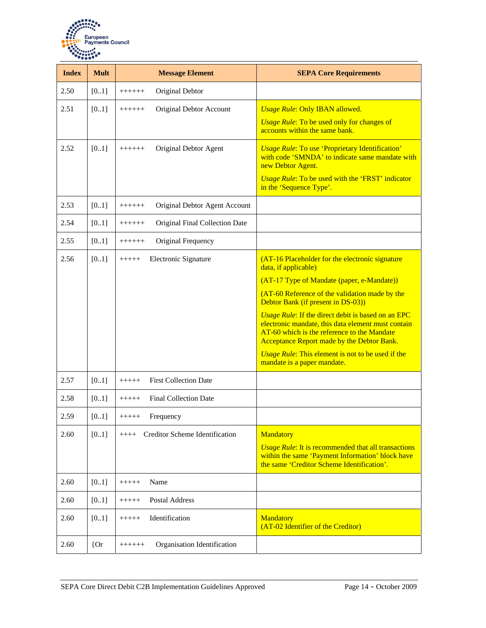

| <b>Index</b> | <b>Mult</b> | <b>Message Element</b>                     | <b>SEPA Core Requirements</b>                                                                                                                                                                                                                                                                                                                                                                                                                                                                              |
|--------------|-------------|--------------------------------------------|------------------------------------------------------------------------------------------------------------------------------------------------------------------------------------------------------------------------------------------------------------------------------------------------------------------------------------------------------------------------------------------------------------------------------------------------------------------------------------------------------------|
| 2.50         | [01]        | Original Debtor<br>$+++++$                 |                                                                                                                                                                                                                                                                                                                                                                                                                                                                                                            |
| 2.51         | [01]        | Original Debtor Account<br>$++++++$        | <b>Usage Rule: Only IBAN allowed.</b><br><b>Usage Rule: To be used only for changes of</b><br>accounts within the same bank.                                                                                                                                                                                                                                                                                                                                                                               |
| 2.52         | [01]        | Original Debtor Agent<br>$+++++$           | <b>Usage Rule: To use 'Proprietary Identification'</b><br>with code 'SMNDA' to indicate same mandate with<br>new Debtor Agent.<br>Usage Rule: To be used with the 'FRST' indicator<br>in the 'Sequence Type'.                                                                                                                                                                                                                                                                                              |
| 2.53         | [01]        | Original Debtor Agent Account<br>$++++++$  |                                                                                                                                                                                                                                                                                                                                                                                                                                                                                                            |
| 2.54         | [01]        | Original Final Collection Date<br>$++++++$ |                                                                                                                                                                                                                                                                                                                                                                                                                                                                                                            |
| 2.55         | [01]        | Original Frequency<br>$++++++$             |                                                                                                                                                                                                                                                                                                                                                                                                                                                                                                            |
| 2.56         | [01]        | Electronic Signature<br>$+++++$            | (AT-16 Placeholder for the electronic signature<br>data, if applicable)<br>(AT-17 Type of Mandate (paper, e-Mandate))<br>(AT-60 Reference of the validation made by the<br>Debtor Bank (if present in DS-03))<br>Usage Rule: If the direct debit is based on an EPC<br>electronic mandate, this data element must contain<br>AT-60 which is the reference to the Mandate<br>Acceptance Report made by the Debtor Bank.<br>Usage Rule: This element is not to be used if the<br>mandate is a paper mandate. |
| 2.57         | [01]        | <b>First Collection Date</b><br>$+++++$    |                                                                                                                                                                                                                                                                                                                                                                                                                                                                                                            |
| 2.58         | [01]        | <b>Final Collection Date</b><br>$+++++$    |                                                                                                                                                                                                                                                                                                                                                                                                                                                                                                            |
| 2.59         | [01]        | Frequency<br>+++++                         |                                                                                                                                                                                                                                                                                                                                                                                                                                                                                                            |
| 2.60         | $[01]$      | Creditor Scheme Identification<br>$++++$   | Mandatory<br><b>Usage Rule:</b> It is recommended that all transactions<br>within the same 'Payment Information' block have<br>the same 'Creditor Scheme Identification'.                                                                                                                                                                                                                                                                                                                                  |
| 2.60         | [0.1]       | Name<br>$+++++$                            |                                                                                                                                                                                                                                                                                                                                                                                                                                                                                                            |
| 2.60         | [01]        | Postal Address<br>$+++++$                  |                                                                                                                                                                                                                                                                                                                                                                                                                                                                                                            |
| 2.60         | [01]        | Identification<br>$+++++$                  | Mandatory<br>(AT-02 Identifier of the Creditor)                                                                                                                                                                                                                                                                                                                                                                                                                                                            |
| 2.60         | ${or}$      | Organisation Identification<br>$++++++$    |                                                                                                                                                                                                                                                                                                                                                                                                                                                                                                            |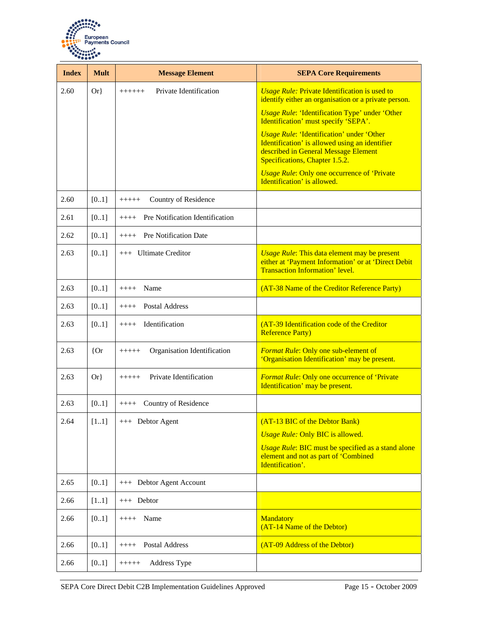

| <b>Index</b> | <b>Mult</b> | <b>Message Element</b>                    | <b>SEPA Core Requirements</b>                                                                                                                                                |
|--------------|-------------|-------------------------------------------|------------------------------------------------------------------------------------------------------------------------------------------------------------------------------|
| 2.60         | $Or\}$      | Private Identification<br>$+++++$         | <b>Usage Rule: Private Identification is used to</b><br>identify either an organisation or a private person.                                                                 |
|              |             |                                           | <b>Usage Rule: 'Identification Type' under 'Other</b><br>Identification' must specify 'SEPA'.                                                                                |
|              |             |                                           | <b>Usage Rule: 'Identification' under 'Other</b><br>Identification' is allowed using an identifier<br>described in General Message Element<br>Specifications, Chapter 1.5.2. |
|              |             |                                           | <b><i>Usage Rule:</i></b> Only one occurrence of 'Private'<br>Identification' is allowed.                                                                                    |
| 2.60         | [01]        | Country of Residence<br>$+++++$           |                                                                                                                                                                              |
| 2.61         | [01]        | Pre Notification Identification<br>$++++$ |                                                                                                                                                                              |
| 2.62         | [01]        | Pre Notification Date<br>$++++$           |                                                                                                                                                                              |
| 2.63         | [01]        | +++ Ultimate Creditor                     | <b>Usage Rule: This data element may be present</b><br>either at 'Payment Information' or at 'Direct Debit<br><b>Transaction Information' level.</b>                         |
| 2.63         | [01]        | Name<br>$++++-$                           | (AT-38 Name of the Creditor Reference Party)                                                                                                                                 |
| 2.63         | [01]        | Postal Address<br>$+++++$                 |                                                                                                                                                                              |
| 2.63         | [01]        | Identification<br>$++++$                  | (AT-39 Identification code of the Creditor<br><b>Reference Party)</b>                                                                                                        |
| 2.63         | ${or}$      | Organisation Identification<br>$+++++$    | Format Rule: Only one sub-element of<br>'Organisation Identification' may be present.                                                                                        |
| 2.63         | $Or\}$      | Private Identification<br>$+++++$         | <b>Format Rule: Only one occurrence of 'Private</b><br>Identification' may be present.                                                                                       |
| 2.63         | [01]        | Country of Residence<br>$+++++$           |                                                                                                                                                                              |
| 2.64         | [11]        | $++$ Debtor Agent                         | (AT-13 BIC of the Debtor Bank)                                                                                                                                               |
|              |             |                                           | <b>Usage Rule: Only BIC is allowed.</b>                                                                                                                                      |
|              |             |                                           | Usage Rule: BIC must be specified as a stand alone<br>element and not as part of 'Combined<br>Identification'.                                                               |
| 2.65         | [01]        | +++ Debtor Agent Account                  |                                                                                                                                                                              |
| 2.66         | [11]        | $++$ Debtor                               |                                                                                                                                                                              |
| 2.66         | [01]        | Name<br>$++++-$                           | Mandatory<br>(AT-14 Name of the Debtor)                                                                                                                                      |
| 2.66         | [01]        | Postal Address<br>$+++++$                 | (AT-09 Address of the Debtor)                                                                                                                                                |
| 2.66         | [01]        | Address Type<br>$+++++$                   |                                                                                                                                                                              |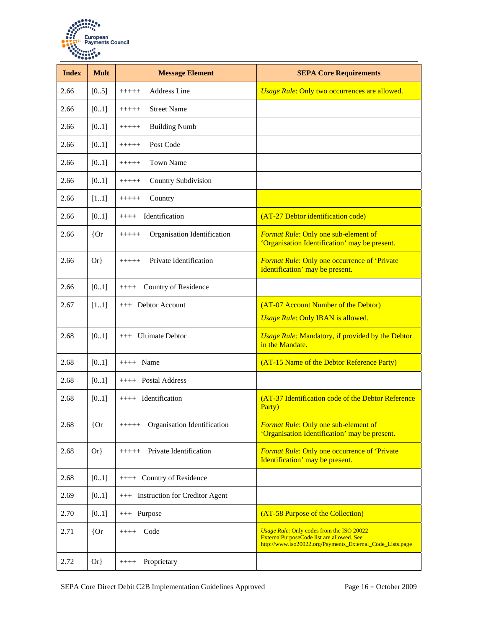

| <b>Index</b> | <b>Mult</b> | <b>Message Element</b>                 | <b>SEPA Core Requirements</b>                                                                                                                       |
|--------------|-------------|----------------------------------------|-----------------------------------------------------------------------------------------------------------------------------------------------------|
| 2.66         | [05]        | <b>Address Line</b><br>$+++++$         | Usage Rule: Only two occurrences are allowed.                                                                                                       |
| 2.66         | [01]        | <b>Street Name</b><br>$+++++$          |                                                                                                                                                     |
| 2.66         | [01]        | <b>Building Numb</b><br>$+++++$        |                                                                                                                                                     |
| 2.66         | [01]        | Post Code<br>$+++++$                   |                                                                                                                                                     |
| 2.66         | [01]        | <b>Town Name</b><br>$+++++$            |                                                                                                                                                     |
| 2.66         | [01]        | Country Subdivision<br>$+++++$         |                                                                                                                                                     |
| 2.66         | $[11]$      | Country<br>$+++++$                     |                                                                                                                                                     |
| 2.66         | [01]        | Identification<br>$+++++$              | (AT-27 Debtor identification code)                                                                                                                  |
| 2.66         | ${or}$      | Organisation Identification<br>$+++++$ | Format Rule: Only one sub-element of<br>'Organisation Identification' may be present.                                                               |
| 2.66         | $Or\}$      | Private Identification<br>$+++++$      | <b>Format Rule: Only one occurrence of 'Private</b><br>Identification' may be present.                                                              |
| 2.66         | [01]        | Country of Residence<br>$++++$         |                                                                                                                                                     |
| 2.67         | $[11]$      | +++ Debtor Account                     | (AT-07 Account Number of the Debtor)<br><b>Usage Rule: Only IBAN is allowed.</b>                                                                    |
| 2.68         | [01]        | +++ Ultimate Debtor                    | <b>Usage Rule: Mandatory, if provided by the Debtor</b><br>in the Mandate.                                                                          |
| 2.68         | [01]        | $++++$ Name                            | (AT-15 Name of the Debtor Reference Party)                                                                                                          |
| 2.68         | [01]        | $++++$ Postal Address                  |                                                                                                                                                     |
| 2.68         | [01]        | ++++ Identification                    | (AT-37 Identification code of the Debtor Reference<br>Party)                                                                                        |
| 2.68         | ${or}$      | Organisation Identification<br>$+++++$ | Format Rule: Only one sub-element of<br>'Organisation Identification' may be present.                                                               |
| 2.68         | $Or\}$      | Private Identification<br>$+++++$      | <b>Format Rule: Only one occurrence of 'Private</b><br>Identification' may be present.                                                              |
| 2.68         | [01]        | ++++ Country of Residence              |                                                                                                                                                     |
| 2.69         | [01]        | +++ Instruction for Creditor Agent     |                                                                                                                                                     |
| 2.70         | [01]        | +++ Purpose                            | (AT-58 Purpose of the Collection)                                                                                                                   |
| 2.71         | ${or}$      | $++++$ Code                            | Usage Rule: Only codes from the ISO 20022<br>ExternalPurposeCode list are allowed. See<br>http://www.iso20022.org/Payments_External_Code_Lists.page |
| 2.72         | $Or\}$      | Proprietary<br>$+++++$                 |                                                                                                                                                     |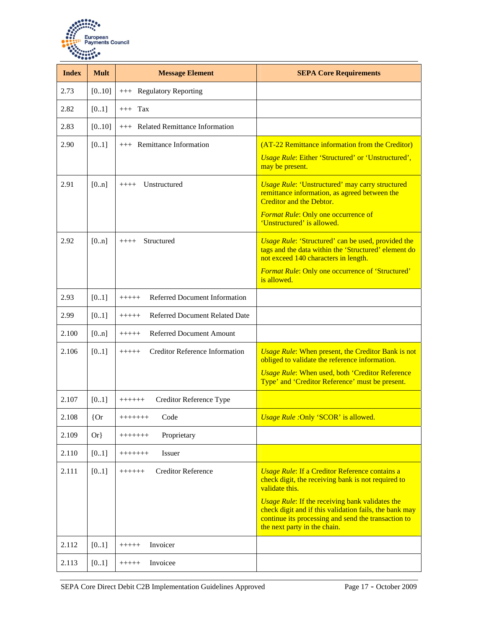

| <b>Index</b> | <b>Mult</b> | <b>Message Element</b>                           | <b>SEPA Core Requirements</b>                                                                                                                                                                           |
|--------------|-------------|--------------------------------------------------|---------------------------------------------------------------------------------------------------------------------------------------------------------------------------------------------------------|
| 2.73         | [010]       | +++ Regulatory Reporting                         |                                                                                                                                                                                                         |
| 2.82         | [01]        | $+++$ Tax                                        |                                                                                                                                                                                                         |
| 2.83         | [010]       | <b>Related Remittance Information</b><br>$+++$   |                                                                                                                                                                                                         |
| 2.90         | [01]        | +++ Remittance Information                       | (AT-22 Remittance information from the Creditor)                                                                                                                                                        |
|              |             |                                                  | <b>Usage Rule: Either 'Structured' or 'Unstructured',</b><br>may be present.                                                                                                                            |
| 2.91         | [0n]        | $++++$ Unstructured                              | <b>Usage Rule: 'Unstructured' may carry structured</b><br>remittance information, as agreed between the<br><b>Creditor and the Debtor.</b>                                                              |
|              |             |                                                  | Format Rule: Only one occurrence of<br>'Unstructured' is allowed.                                                                                                                                       |
| 2.92         | [0n]        | Structured<br>$+++++$                            | <b>Usage Rule: 'Structured' can be used, provided the</b><br>tags and the data within the 'Structured' element do<br>not exceed 140 characters in length.                                               |
|              |             |                                                  | Format Rule: Only one occurrence of 'Structured'<br>is allowed.                                                                                                                                         |
| 2.93         | [01]        | Referred Document Information<br>$+++++$         |                                                                                                                                                                                                         |
| 2.99         | [0.1]       | <b>Referred Document Related Date</b><br>$+++++$ |                                                                                                                                                                                                         |
| 2.100        | [0n]        | <b>Referred Document Amount</b><br>$+++++$       |                                                                                                                                                                                                         |
| 2.106        | [01]        | <b>Creditor Reference Information</b><br>$+++++$ | <b>Usage Rule: When present, the Creditor Bank is not</b><br>obliged to validate the reference information.                                                                                             |
|              |             |                                                  | <b>Usage Rule: When used, both 'Creditor Reference</b><br>Type' and 'Creditor Reference' must be present.                                                                                               |
| 2.107        | [01]        | Creditor Reference Type<br>$++++++$              |                                                                                                                                                                                                         |
| 2.108        | ${or}$      | $++++++$<br>Code                                 | Usage Rule : Only 'SCOR' is allowed.                                                                                                                                                                    |
| 2.109        | $Or\}$      | Proprietary<br>$++++++$                          |                                                                                                                                                                                                         |
| 2.110        | [0.1]       | <b>Issuer</b><br>$++++++$                        |                                                                                                                                                                                                         |
| 2.111        | [01]        | <b>Creditor Reference</b><br>$+++++$             | <b>Usage Rule: If a Creditor Reference contains a</b><br>check digit, the receiving bank is not required to<br>validate this.                                                                           |
|              |             |                                                  | <b>Usage Rule:</b> If the receiving bank validates the<br>check digit and if this validation fails, the bank may<br>continue its processing and send the transaction to<br>the next party in the chain. |
| 2.112        | [01]        | Invoicer<br>$+++++$                              |                                                                                                                                                                                                         |
| 2.113        | [0.1]       | Invoicee<br>$+++++$                              |                                                                                                                                                                                                         |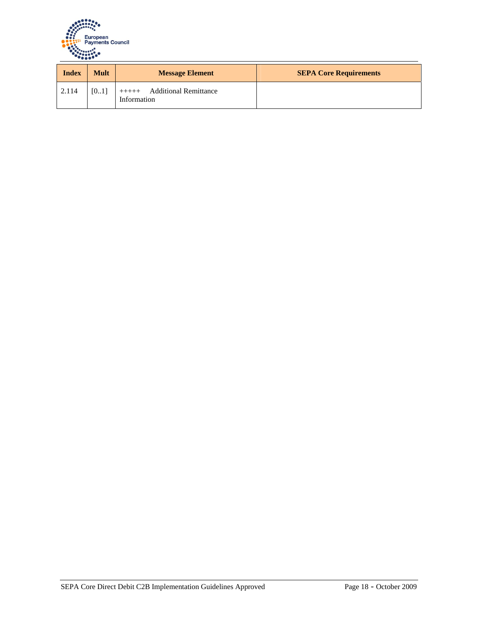

| <b>Index</b> | <b>Mult</b> | <b>Message Element</b>                                 | <b>SEPA Core Requirements</b> |
|--------------|-------------|--------------------------------------------------------|-------------------------------|
| 2.114        | [01]        | <b>Additional Remittance</b><br>$+++++$<br>Information |                               |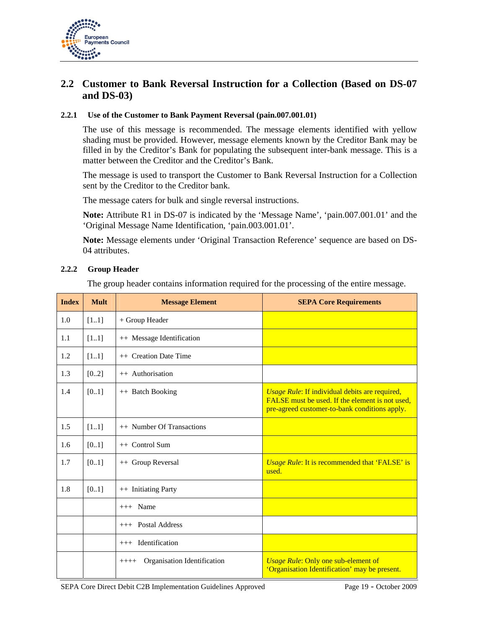

## **2.2 Customer to Bank Reversal Instruction for a Collection (Based on DS-07 and DS-03)**

#### **2.2.1 Use of the Customer to Bank Payment Reversal (pain.007.001.01)**

The use of this message is recommended. The message elements identified with yellow shading must be provided. However, message elements known by the Creditor Bank may be filled in by the Creditor's Bank for populating the subsequent inter-bank message. This is a matter between the Creditor and the Creditor's Bank.

The message is used to transport the Customer to Bank Reversal Instruction for a Collection sent by the Creditor to the Creditor bank.

The message caters for bulk and single reversal instructions.

**Note:** Attribute R1 in DS-07 is indicated by the 'Message Name', 'pain.007.001.01' and the 'Original Message Name Identification, 'pain.003.001.01'.

**Note:** Message elements under 'Original Transaction Reference' sequence are based on DS-04 attributes.

#### **2.2.2 Group Header**

The group header contains information required for the processing of the entire message.

| <b>Index</b> | <b>Mult</b> | <b>Message Element</b>                 | <b>SEPA Core Requirements</b>                                                                                                                      |
|--------------|-------------|----------------------------------------|----------------------------------------------------------------------------------------------------------------------------------------------------|
| 1.0          | $[11]$      | + Group Header                         |                                                                                                                                                    |
| 1.1          | [11]        | ++ Message Identification              |                                                                                                                                                    |
| 1.2          | $[11]$      | ++ Creation Date Time                  |                                                                                                                                                    |
| 1.3          | [02]        | ++ Authorisation                       |                                                                                                                                                    |
| 1.4          | [01]        | ++ Batch Booking                       | Usage Rule: If individual debits are required,<br>FALSE must be used. If the element is not used,<br>pre-agreed customer-to-bank conditions apply. |
| 1.5          | [11]        | ++ Number Of Transactions              |                                                                                                                                                    |
| 1.6          | [01]        | $++$ Control Sum                       |                                                                                                                                                    |
| 1.7          | [01]        | ++ Group Reversal                      | <b>Usage Rule:</b> It is recommended that 'FALSE' is<br>used.                                                                                      |
| 1.8          | [01]        | ++ Initiating Party                    |                                                                                                                                                    |
|              |             | $+++$ Name                             |                                                                                                                                                    |
|              |             | $++$ Postal Address                    |                                                                                                                                                    |
|              |             | $++$ Identification                    |                                                                                                                                                    |
|              |             | Organisation Identification<br>$++++-$ | <b>Usage Rule: Only one sub-element of</b><br>'Organisation Identification' may be present.                                                        |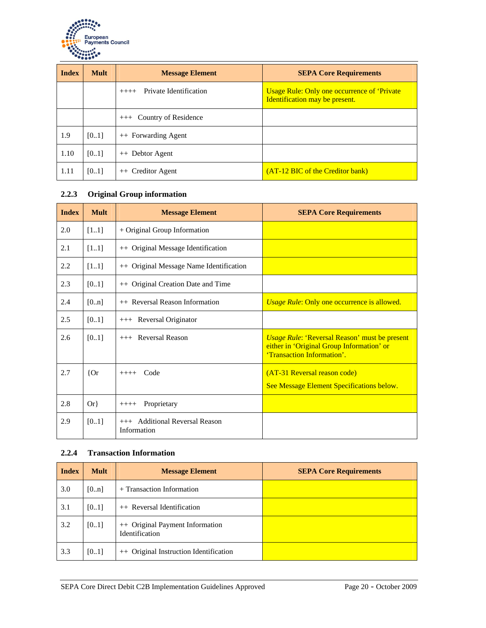

| <b>Index</b> | <b>Mult</b> | <b>Message Element</b>            | <b>SEPA Core Requirements</b>                                                  |
|--------------|-------------|-----------------------------------|--------------------------------------------------------------------------------|
|              |             | Private Identification<br>$++++-$ | Usage Rule: Only one occurrence of 'Private'<br>Identification may be present. |
|              |             | Country of Residence<br>$+++$     |                                                                                |
| 1.9          | [01]        | ++ Forwarding Agent               |                                                                                |
| 1.10         | [01]        | ++ Debtor Agent                   |                                                                                |
| 1.11         | [0.1]       | ++ Creditor Agent                 | (AT-12 BIC of the Creditor bank)                                               |

### **2.2.3 Original Group information**

| <b>Index</b> | <b>Mult</b> | <b>Message Element</b>                        | <b>SEPA Core Requirements</b>                                                                                                   |
|--------------|-------------|-----------------------------------------------|---------------------------------------------------------------------------------------------------------------------------------|
| 2.0          | $[11]$      | + Original Group Information                  |                                                                                                                                 |
| 2.1          | $[11]$      | ++ Original Message Identification            |                                                                                                                                 |
| 2.2          | $[11]$      | ++ Original Message Name Identification       |                                                                                                                                 |
| 2.3          | [01]        | ++ Original Creation Date and Time            |                                                                                                                                 |
| 2.4          | [0n]        | ++ Reversal Reason Information                | Usage Rule: Only one occurrence is allowed.                                                                                     |
| 2.5          | [01]        | +++ Reversal Originator                       |                                                                                                                                 |
| 2.6          | [01]        | $++$ Reversal Reason                          | <i>Usage Rule: 'Reversal Reason'</i> must be present<br>either in 'Original Group Information' or<br>'Transaction Information'. |
| 2.7          | ${or}$      | Code<br>$+++++$                               | (AT-31 Reversal reason code)<br>See Message Element Specifications below.                                                       |
| 2.8          | $Or\}$      | Proprietary<br>$+++++$                        |                                                                                                                                 |
| 2.9          | [01]        | +++ Additional Reversal Reason<br>Information |                                                                                                                                 |

#### **2.2.4 Transaction Information**

| <b>Index</b> | <b>Mult</b> | <b>Message Element</b>                                   | <b>SEPA Core Requirements</b> |
|--------------|-------------|----------------------------------------------------------|-------------------------------|
| 3.0          | [0n]        | + Transaction Information                                |                               |
| 3.1          | [0.1]       | $++$ Reversal Identification                             |                               |
| 3.2          | [0.1]       | ++ Original Payment Information<br><b>Identification</b> |                               |
| 3.3          | [0.1]       | ++ Original Instruction Identification                   |                               |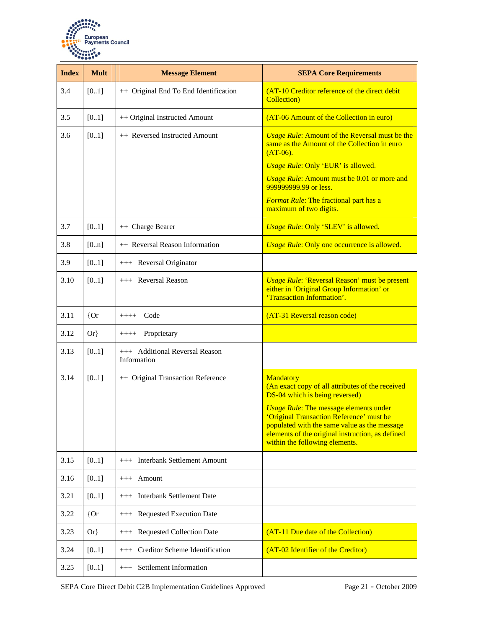

| <b>Index</b> | <b>Mult</b> | <b>Message Element</b>                        | <b>SEPA Core Requirements</b>                                                                                                                                                                                                                                                                                                             |
|--------------|-------------|-----------------------------------------------|-------------------------------------------------------------------------------------------------------------------------------------------------------------------------------------------------------------------------------------------------------------------------------------------------------------------------------------------|
| 3.4          | [01]        | ++ Original End To End Identification         | (AT-10 Creditor reference of the direct debit<br><b>Collection</b> )                                                                                                                                                                                                                                                                      |
| 3.5          | [01]        | ++ Original Instructed Amount                 | (AT-06 Amount of the Collection in euro)                                                                                                                                                                                                                                                                                                  |
| 3.6          | [01]        | ++ Reversed Instructed Amount                 | <b><i>Usage Rule:</i></b> Amount of the Reversal must be the<br>same as the Amount of the Collection in euro<br>$(AT-06)$ .<br>Usage Rule: Only 'EUR' is allowed.<br>Usage Rule: Amount must be 0.01 or more and<br>999999999.99 or less.<br>Format Rule: The fractional part has a<br>maximum of two digits.                             |
| 3.7          | [01]        | ++ Charge Bearer                              | Usage Rule: Only 'SLEV' is allowed.                                                                                                                                                                                                                                                                                                       |
| 3.8          | [0n]        | ++ Reversal Reason Information                | Usage Rule: Only one occurrence is allowed.                                                                                                                                                                                                                                                                                               |
| 3.9          | [01]        | +++ Reversal Originator                       |                                                                                                                                                                                                                                                                                                                                           |
| 3.10         | [01]        | +++ Reversal Reason                           | <b>Usage Rule: 'Reversal Reason' must be present</b><br>either in 'Original Group Information' or<br>'Transaction Information'.                                                                                                                                                                                                           |
| 3.11         | ${or}$      | Code<br>$++++$                                | (AT-31 Reversal reason code)                                                                                                                                                                                                                                                                                                              |
| 3.12         | $Or\}$      | Proprietary<br>$++++-$                        |                                                                                                                                                                                                                                                                                                                                           |
| 3.13         | [01]        | +++ Additional Reversal Reason<br>Information |                                                                                                                                                                                                                                                                                                                                           |
| 3.14         | [01]        | ++ Original Transaction Reference             | <b>Mandatory</b><br>(An exact copy of all attributes of the received<br>DS-04 which is being reversed)<br><b>Usage Rule: The message elements under</b><br>'Original Transaction Reference' must be<br>populated with the same value as the message<br>elements of the original instruction, as defined<br>within the following elements. |
| 3.15         | [01]        | <b>Interbank Settlement Amount</b><br>$+++$   |                                                                                                                                                                                                                                                                                                                                           |
| 3.16         | [01]        | $+++$ Amount                                  |                                                                                                                                                                                                                                                                                                                                           |
| 3.21         | [01]        | +++ Interbank Settlement Date                 |                                                                                                                                                                                                                                                                                                                                           |
| 3.22         | ${or}$      | +++ Requested Execution Date                  |                                                                                                                                                                                                                                                                                                                                           |
| 3.23         | $Or\}$      | +++ Requested Collection Date                 | (AT-11 Due date of the Collection)                                                                                                                                                                                                                                                                                                        |
| 3.24         | [01]        | Creditor Scheme Identification<br>$+++$       | (AT-02 Identifier of the Creditor)                                                                                                                                                                                                                                                                                                        |
| 3.25         | [01]        | +++ Settlement Information                    |                                                                                                                                                                                                                                                                                                                                           |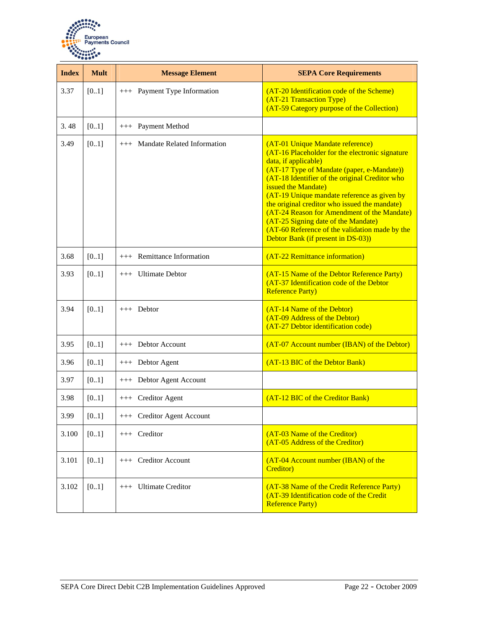

| <b>Index</b> | <b>Mult</b> | <b>Message Element</b>          | <b>SEPA Core Requirements</b>                                                                                                                                                                                                                                                                                                                                                                                                                                                                                    |
|--------------|-------------|---------------------------------|------------------------------------------------------------------------------------------------------------------------------------------------------------------------------------------------------------------------------------------------------------------------------------------------------------------------------------------------------------------------------------------------------------------------------------------------------------------------------------------------------------------|
| 3.37         | [0.1]       | +++ Payment Type Information    | (AT-20 Identification code of the Scheme)<br>(AT-21 Transaction Type)<br>(AT-59 Category purpose of the Collection)                                                                                                                                                                                                                                                                                                                                                                                              |
| 3.48         | [0.1]       | +++ Payment Method              |                                                                                                                                                                                                                                                                                                                                                                                                                                                                                                                  |
| 3.49         | [0.1]       | +++ Mandate Related Information | (AT-01 Unique Mandate reference)<br>(AT-16 Placeholder for the electronic signature<br>data, if applicable)<br>(AT-17 Type of Mandate (paper, e-Mandate))<br>(AT-18 Identifier of the original Creditor who<br>issued the Mandate)<br>(AT-19 Unique mandate reference as given by<br>the original creditor who issued the mandate)<br>(AT-24 Reason for Amendment of the Mandate)<br>(AT-25 Signing date of the Mandate)<br>(AT-60 Reference of the validation made by the<br>Debtor Bank (if present in DS-03)) |
| 3.68         | [01]        | Remittance Information<br>$+++$ | (AT-22 Remittance information)                                                                                                                                                                                                                                                                                                                                                                                                                                                                                   |
| 3.93         | [0.1]       | +++ Ultimate Debtor             | (AT-15 Name of the Debtor Reference Party)<br>(AT-37 Identification code of the Debtor<br><b>Reference Party)</b>                                                                                                                                                                                                                                                                                                                                                                                                |
| 3.94         | [0.1]       | $++$ Debtor                     | (AT-14 Name of the Debtor)<br>(AT-09 Address of the Debtor)<br>(AT-27 Debtor identification code)                                                                                                                                                                                                                                                                                                                                                                                                                |
| 3.95         | [01]        | +++ Debtor Account              | (AT-07 Account number (IBAN) of the Debtor)                                                                                                                                                                                                                                                                                                                                                                                                                                                                      |
| 3.96         | [0.1]       | +++ Debtor Agent                | (AT-13 BIC of the Debtor Bank)                                                                                                                                                                                                                                                                                                                                                                                                                                                                                   |
| 3.97         | [01]        | +++ Debtor Agent Account        |                                                                                                                                                                                                                                                                                                                                                                                                                                                                                                                  |
| 3.98         | [01]        | +++ Creditor Agent              | (AT-12 BIC of the Creditor Bank)                                                                                                                                                                                                                                                                                                                                                                                                                                                                                 |
| 3.99         | [0.1]       | +++ Creditor Agent Account      |                                                                                                                                                                                                                                                                                                                                                                                                                                                                                                                  |
| 3.100        | $[01]$      | $++$ Creditor                   | (AT-03 Name of the Creditor)<br>(AT-05 Address of the Creditor)                                                                                                                                                                                                                                                                                                                                                                                                                                                  |
| 3.101        | [01]        | +++ Creditor Account            | (AT-04 Account number (IBAN) of the<br><b>Creditor</b> )                                                                                                                                                                                                                                                                                                                                                                                                                                                         |
| 3.102        | [01]        | +++ Ultimate Creditor           | (AT-38 Name of the Credit Reference Party)<br>(AT-39 Identification code of the Credit<br><b>Reference Party)</b>                                                                                                                                                                                                                                                                                                                                                                                                |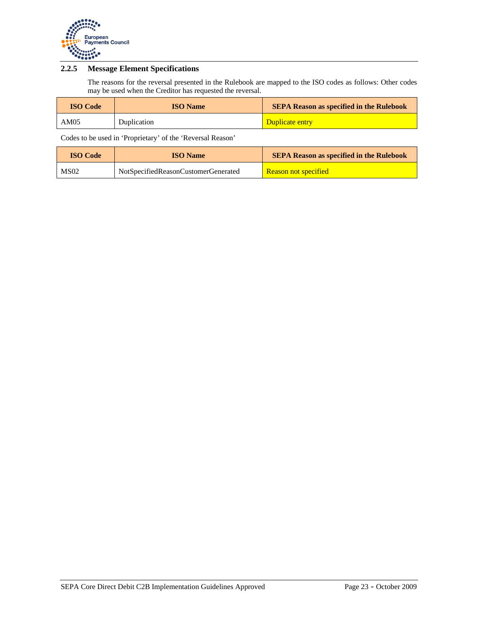

### **2.2.5 Message Element Specifications**

The reasons for the reversal presented in the Rulebook are mapped to the ISO codes as follows: Other codes may be used when the Creditor has requested the reversal.

| <b>ISO Code</b> | <b>ISO</b> Name | <b>SEPA Reason as specified in the Rulebook</b> |
|-----------------|-----------------|-------------------------------------------------|
| AM05            | Duplication     | Duplicate entry                                 |

Codes to be used in 'Proprietary' of the 'Reversal Reason'

| <b>ISO Code</b> | <b>ISO</b> Name                     | <b>SEPA Reason as specified in the Rulebook</b> |
|-----------------|-------------------------------------|-------------------------------------------------|
| MS02            | NotSpecifiedReasonCustomerGenerated | <b>Reason not specified</b>                     |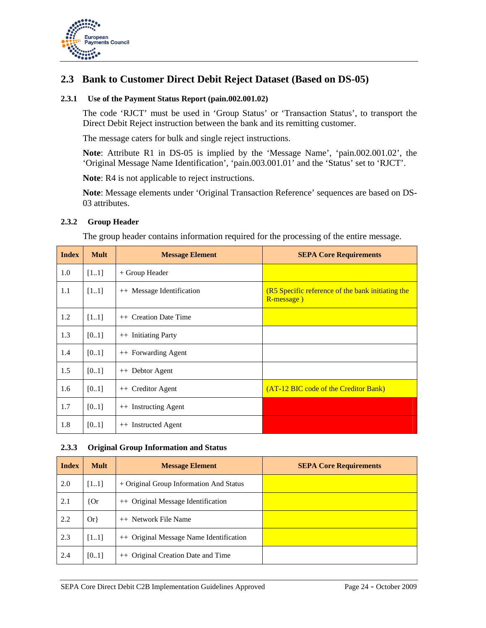

## **2.3 Bank to Customer Direct Debit Reject Dataset (Based on DS-05)**

#### **2.3.1 Use of the Payment Status Report (pain.002.001.02)**

The code 'RJCT' must be used in 'Group Status' or 'Transaction Status', to transport the Direct Debit Reject instruction between the bank and its remitting customer.

The message caters for bulk and single reject instructions.

**Note**: Attribute R1 in DS-05 is implied by the 'Message Name', 'pain.002.001.02', the 'Original Message Name Identification', 'pain.003.001.01' and the 'Status' set to 'RJCT'.

**Note**: R4 is not applicable to reject instructions.

**Note**: Message elements under 'Original Transaction Reference' sequences are based on DS-03 attributes.

#### **2.3.2 Group Header**

The group header contains information required for the processing of the entire message.

| <b>Index</b> | <b>Mult</b> | <b>Message Element</b>    | <b>SEPA Core Requirements</b>                                   |
|--------------|-------------|---------------------------|-----------------------------------------------------------------|
| 1.0          | $[11]$      | + Group Header            |                                                                 |
| 1.1          | [11]        | ++ Message Identification | (R5 Specific reference of the bank initiating the<br>R-message) |
| 1.2          | $[11]$      | ++ Creation Date Time     |                                                                 |
| 1.3          | [01]        | ++ Initiating Party       |                                                                 |
| 1.4          | [01]        | ++ Forwarding Agent       |                                                                 |
| 1.5          | [01]        | ++ Debtor Agent           |                                                                 |
| 1.6          | [01]        | ++ Creditor Agent         | (AT-12 BIC code of the Creditor Bank)                           |
| 1.7          | [0.1]       | ++ Instructing Agent      |                                                                 |
| 1.8          | [01]        | ++ Instructed Agent       |                                                                 |

#### **2.3.3 Original Group Information and Status**

| <b>Index</b> | <b>Mult</b> | <b>Message Element</b>                  | <b>SEPA Core Requirements</b> |
|--------------|-------------|-----------------------------------------|-------------------------------|
| 2.0          | [11]        | + Original Group Information And Status |                               |
| 2.1          | ${or}$      | ++ Original Message Identification      |                               |
| 2.2          | $Or\}$      | ++ Network File Name                    |                               |
| 2.3          | [11]        | ++ Original Message Name Identification |                               |
| 2.4          | [01]        | ++ Original Creation Date and Time      |                               |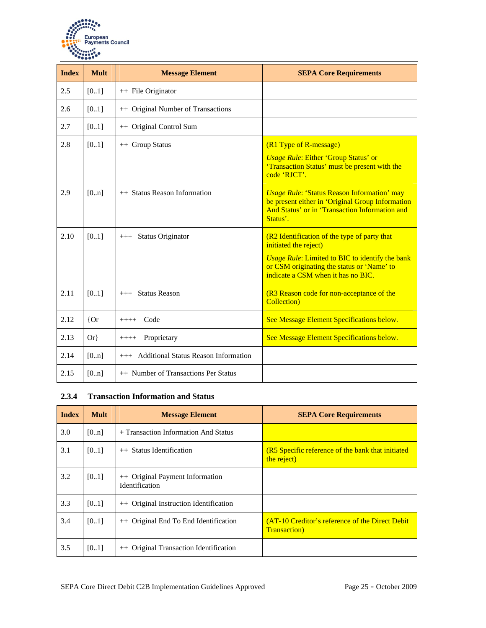

| <b>Index</b> | <b>Mult</b> | <b>Message Element</b>                   | <b>SEPA Core Requirements</b>                                                                                                                                                                                       |
|--------------|-------------|------------------------------------------|---------------------------------------------------------------------------------------------------------------------------------------------------------------------------------------------------------------------|
| 2.5          | [0.1]       | ++ File Originator                       |                                                                                                                                                                                                                     |
| 2.6          | [0.1]       | ++ Original Number of Transactions       |                                                                                                                                                                                                                     |
| 2.7          | [0.1]       | ++ Original Control Sum                  |                                                                                                                                                                                                                     |
| 2.8          | [0.1]       | ++ Group Status                          | (R1 Type of R-message)<br><b>Usage Rule: Either 'Group Status' or</b><br>'Transaction Status' must be present with the<br>code 'RICT'.                                                                              |
| 2.9          | [0n]        | ++ Status Reason Information             | <b>Usage Rule: 'Status Reason Information' may</b><br>be present either in 'Original Group Information<br>And Status' or in 'Transaction Information and<br>Status'.                                                |
| 2.10         | [0.1]       | <b>Status Originator</b><br>$+++$        | (R2 Identification of the type of party that<br>initiated the reject)<br><b>Usage Rule: Limited to BIC to identify the bank</b><br>or CSM originating the status or 'Name' to<br>indicate a CSM when it has no BIC. |
| 2.11         | [0.1]       | $++$ Status Reason                       | (R3 Reason code for non-acceptance of the<br><b>Collection</b> )                                                                                                                                                    |
| 2.12         | ${or}$      | Code<br>$++++-$                          | See Message Element Specifications below.                                                                                                                                                                           |
| 2.13         | $Or\}$      | Proprietary<br>$+++++$                   | See Message Element Specifications below.                                                                                                                                                                           |
| 2.14         | [0n]        | +++ Additional Status Reason Information |                                                                                                                                                                                                                     |
| 2.15         | [0n]        | ++ Number of Transactions Per Status     |                                                                                                                                                                                                                     |

#### **2.3.4 Transaction Information and Status**

| <b>Index</b> | <b>Mult</b> | <b>Message Element</b>                                   | <b>SEPA Core Requirements</b>                                            |
|--------------|-------------|----------------------------------------------------------|--------------------------------------------------------------------------|
| 3.0          | [0n]        | + Transaction Information And Status                     |                                                                          |
| 3.1          | [01]        | ++ Status Identification                                 | (R5 Specific reference of the bank that initiated<br>the reject)         |
| 3.2          | [0.1]       | ++ Original Payment Information<br><b>Identification</b> |                                                                          |
| 3.3          | [0.1]       | ++ Original Instruction Identification                   |                                                                          |
| 3.4          | [0.1]       | ++ Original End To End Identification                    | (AT-10 Creditor's reference of the Direct Debit)<br><b>Transaction</b> ) |
| 3.5          | [01]        | Original Transaction Identification<br>$++$              |                                                                          |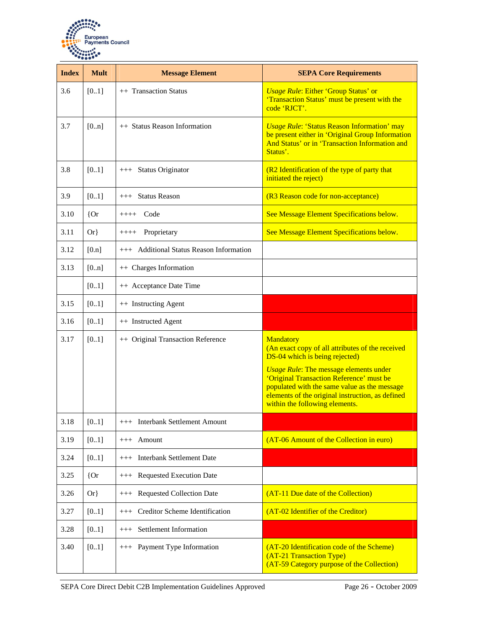

| <b>Index</b> | <b>Mult</b> | <b>Message Element</b>                   | <b>SEPA Core Requirements</b>                                                                                                                                                                                                                                                                                                      |
|--------------|-------------|------------------------------------------|------------------------------------------------------------------------------------------------------------------------------------------------------------------------------------------------------------------------------------------------------------------------------------------------------------------------------------|
| 3.6          | [01]        | ++ Transaction Status                    | <b>Usage Rule: Either 'Group Status' or</b><br>'Transaction Status' must be present with the<br>code 'RJCT'.                                                                                                                                                                                                                       |
| 3.7          | [0n]        | ++ Status Reason Information             | <b>Usage Rule: 'Status Reason Information' may</b><br>be present either in 'Original Group Information<br>And Status' or in 'Transaction Information and<br>Status'.                                                                                                                                                               |
| 3.8          | [0.1]       | +++ Status Originator                    | (R2 Identification of the type of party that<br>initiated the reject)                                                                                                                                                                                                                                                              |
| 3.9          | [01]        | +++ Status Reason                        | (R3 Reason code for non-acceptance)                                                                                                                                                                                                                                                                                                |
| 3.10         | ${or}$      | Code<br>$++++-$                          | See Message Element Specifications below.                                                                                                                                                                                                                                                                                          |
| 3.11         | $Or\}$      | Proprietary<br>$++++-$                   | See Message Element Specifications below.                                                                                                                                                                                                                                                                                          |
| 3.12         | [0.n]       | +++ Additional Status Reason Information |                                                                                                                                                                                                                                                                                                                                    |
| 3.13         | [0n]        | ++ Charges Information                   |                                                                                                                                                                                                                                                                                                                                    |
|              | [01]        | ++ Acceptance Date Time                  |                                                                                                                                                                                                                                                                                                                                    |
| 3.15         | [0.1]       | ++ Instructing Agent                     |                                                                                                                                                                                                                                                                                                                                    |
| 3.16         | [0.1]       | ++ Instructed Agent                      |                                                                                                                                                                                                                                                                                                                                    |
| 3.17         | [01]        | ++ Original Transaction Reference        | Mandatory<br>(An exact copy of all attributes of the received<br>DS-04 which is being rejected)<br><b>Usage Rule: The message elements under</b><br>'Original Transaction Reference' must be<br>populated with the same value as the message<br>elements of the original instruction, as defined<br>within the following elements. |
| 3.18         | [01]        | +++ Interbank Settlement Amount          |                                                                                                                                                                                                                                                                                                                                    |
| 3.19         | [0.1]       | $+++$ Amount                             | (AT-06 Amount of the Collection in euro)                                                                                                                                                                                                                                                                                           |
| 3.24         | [0.1]       | +++ Interbank Settlement Date            |                                                                                                                                                                                                                                                                                                                                    |
| 3.25         | ${or}$      | +++ Requested Execution Date             |                                                                                                                                                                                                                                                                                                                                    |
| 3.26         | $Or\}$      | +++ Requested Collection Date            | (AT-11 Due date of the Collection)                                                                                                                                                                                                                                                                                                 |
| 3.27         | [01]        | Creditor Scheme Identification<br>$+++$  | (AT-02 Identifier of the Creditor)                                                                                                                                                                                                                                                                                                 |
| 3.28         | [01]        | Settlement Information<br>$+++$          |                                                                                                                                                                                                                                                                                                                                    |
| 3.40         | [01]        | +++ Payment Type Information             | (AT-20 Identification code of the Scheme)<br>(AT-21 Transaction Type)<br>(AT-59 Category purpose of the Collection)                                                                                                                                                                                                                |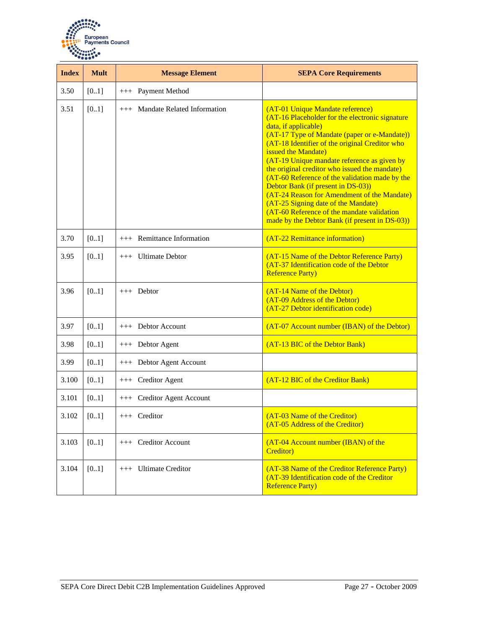

| <b>Index</b> | <b>Mult</b> | <b>Message Element</b>          | <b>SEPA Core Requirements</b>                                                                                                                                                                                                                                                                                                                                                                                                                                                                                                                                                                                      |
|--------------|-------------|---------------------------------|--------------------------------------------------------------------------------------------------------------------------------------------------------------------------------------------------------------------------------------------------------------------------------------------------------------------------------------------------------------------------------------------------------------------------------------------------------------------------------------------------------------------------------------------------------------------------------------------------------------------|
| 3.50         | [01]        | +++ Payment Method              |                                                                                                                                                                                                                                                                                                                                                                                                                                                                                                                                                                                                                    |
| 3.51         | [01]        | +++ Mandate Related Information | (AT-01 Unique Mandate reference)<br>(AT-16 Placeholder for the electronic signature<br>data, if applicable)<br>(AT-17 Type of Mandate (paper or e-Mandate))<br>(AT-18 Identifier of the original Creditor who<br>issued the Mandate)<br>(AT-19 Unique mandate reference as given by<br>the original creditor who issued the mandate)<br>(AT-60 Reference of the validation made by the<br>Debtor Bank (if present in DS-03))<br>(AT-24 Reason for Amendment of the Mandate)<br>(AT-25 Signing date of the Mandate)<br>(AT-60 Reference of the mandate validation<br>made by the Debtor Bank (if present in DS-03)) |
| 3.70         | [01]        | +++ Remittance Information      | (AT-22 Remittance information)                                                                                                                                                                                                                                                                                                                                                                                                                                                                                                                                                                                     |
| 3.95         | [0.1]       | $++$ Ultimate Debtor            | (AT-15 Name of the Debtor Reference Party)<br>(AT-37 Identification code of the Debtor<br><b>Reference Party)</b>                                                                                                                                                                                                                                                                                                                                                                                                                                                                                                  |
| 3.96         | [0.1]       | $++$ Debtor                     | (AT-14 Name of the Debtor)<br>(AT-09 Address of the Debtor)<br>(AT-27 Debtor identification code)                                                                                                                                                                                                                                                                                                                                                                                                                                                                                                                  |
| 3.97         | [01]        | +++ Debtor Account              | (AT-07 Account number (IBAN) of the Debtor)                                                                                                                                                                                                                                                                                                                                                                                                                                                                                                                                                                        |
| 3.98         | [01]        | +++ Debtor Agent                | (AT-13 BIC of the Debtor Bank)                                                                                                                                                                                                                                                                                                                                                                                                                                                                                                                                                                                     |
| 3.99         | [01]        | +++ Debtor Agent Account        |                                                                                                                                                                                                                                                                                                                                                                                                                                                                                                                                                                                                                    |
| 3.100        | [01]        | +++ Creditor Agent              | (AT-12 BIC of the Creditor Bank)                                                                                                                                                                                                                                                                                                                                                                                                                                                                                                                                                                                   |
| 3.101        | [0.1]       | +++ Creditor Agent Account      |                                                                                                                                                                                                                                                                                                                                                                                                                                                                                                                                                                                                                    |
| 3.102        | [0.1]       | +++ Creditor                    | (AT-03 Name of the Creditor)<br>(AT-05 Address of the Creditor)                                                                                                                                                                                                                                                                                                                                                                                                                                                                                                                                                    |
| 3.103        | [01]        | +++ Creditor Account            | (AT-04 Account number (IBAN) of the<br>Creditor)                                                                                                                                                                                                                                                                                                                                                                                                                                                                                                                                                                   |
| 3.104        | [0.1]       | +++ Ultimate Creditor           | (AT-38 Name of the Creditor Reference Party)<br>(AT-39 Identification code of the Creditor<br><b>Reference Party)</b>                                                                                                                                                                                                                                                                                                                                                                                                                                                                                              |